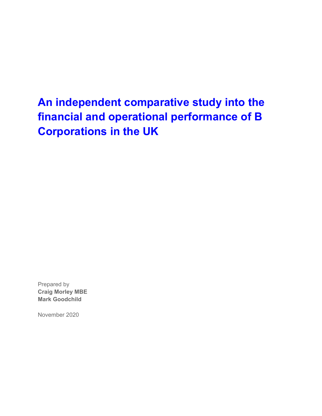## **An independent comparative study into the financial and operational performance of B Corporations in the UK**

Prepared by **Craig Morley MBE Mark Goodchild**

November 2020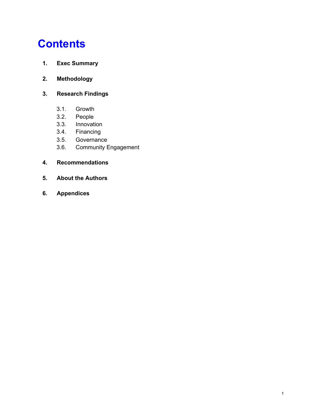## **Contents**

- **1. Exec Summary**
- **2. Methodology**
- **3. Research Findings**
	- 3.1. Growth
	- 3.2. People
	- 3.3. Innovation
	- 3.4. Financing
	- 3.5. Governance
	- 3.6. Community Engagement
- **4. Recommendations**
- **5. About the Authors**
- **6. Appendices**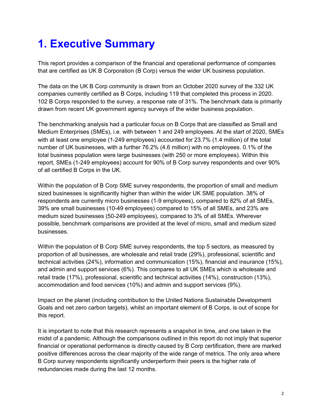# **1. Executive Summary**

This report provides a comparison of the financial and operational performance of companies that are certified as UK B Corporation (B Corp) versus the wider UK business population.

The data on the UK B Corp community is drawn from an October 2020 survey of the 332 UK companies currently certified as B Corps, including 119 that completed this process in 2020. 102 B Corps responded to the survey, a response rate of 31%. The benchmark data is primarily drawn from recent UK government agency surveys of the wider business population.

The benchmarking analysis had a particular focus on B Corps that are classified as Small and Medium Enterprises (SMEs), i.e. with between 1 and 249 employees. At the start of 2020, SMEs with at least one employee (1-249 employees) accounted for 23.7% (1.4 million) of the total number of UK businesses, with a further 76.2% (4.6 million) with no employees. 0.1% of the total business population were large businesses (with 250 or more employees). Within this report, SMEs (1-249 employees) account for 90% of B Corp survey respondents and over 90% of all certified B Corps in the UK.

Within the population of B Corp SME survey respondents, the proportion of small and medium sized businesses is significantly higher than within the wider UK SME population. 38% of respondents are currently micro businesses (1-9 employees), compared to 82% of all SMEs, 39% are small businesses (10-49 employees) compared to 15% of all SMEs, and 23% are medium sized businesses (50-249 employees), compared to 3% of all SMEs. Wherever possible, benchmark comparisons are provided at the level of micro, small and medium sized businesses.

Within the population of B Corp SME survey respondents, the top 5 sectors, as measured by proportion of all businesses, are wholesale and retail trade (29%), professional, scientific and technical activities (24%), information and communication (15%), financial and insurance (15%), and admin and support services (6%). This compares to all UK SMEs which is wholesale and retail trade (17%), professional, scientific and technical activities (14%), construction (13%), accommodation and food services (10%) and admin and support services (9%).

Impact on the planet (including contribution to the United Nations Sustainable Development Goals and net zero carbon targets), whilst an important element of B Corps, is out of scope for this report.

It is important to note that this research represents a snapshot in time, and one taken in the midst of a pandemic. Although the comparisons outlined in this report do not imply that superior financial or operational performance is directly caused by B Corp certification, there are marked positive differences across the clear majority of the wide range of metrics. The only area where B Corp survey respondents significantly underperform their peers is the higher rate of redundancies made during the last 12 months.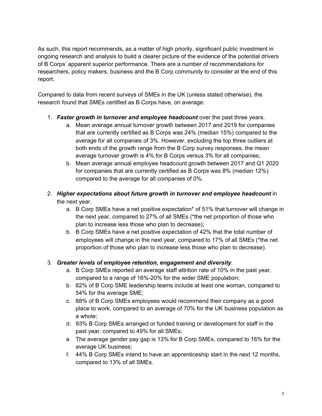As such, this report recommends, as a matter of high priority, significant public investment in ongoing research and analysis to build a clearer picture of the evidence of the potential drivers of B Corps' apparent superior performance. There are a number of recommendations for researchers, policy makers, business and the B Corp community to consider at the end of this report.

Compared to data from recent surveys of SMEs in the UK (unless stated otherwise), the research found that SMEs certified as B Corps have, on average:

- 1. *Faster growth in turnover and employee headcount* over the past three years.
	- a. Mean average annual turnover growth between 2017 and 2019 for companies that are currently certified as B Corps was 24% (median 15%) compared to the average for all companies of 3%. However, excluding the top three outliers at both ends of the growth range from the B Corp survey responses, the mean average turnover growth is 4% for B Corps versus 3% for all companies;
	- b. Mean average annual employee headcount growth between 2017 and Q1 2020 for companies that are currently certified as B Corps was 8% (median 12%) compared to the average for all companies of 0%.
- 2. *Higher expectations about future growth in turnover and employee headcount* in the next year.
	- a. B Corp SMEs have a net positive expectation\* of 51% that turnover will change in the next year, compared to 27% of all SMEs (\*the net proportion of those who plan to increase less those who plan to decrease);
	- b. B Corp SMEs have a net positive expectation of 42% that the total number of employees will change in the next year, compared to 17% of all SMEs (\*the net proportion of those who plan to increase less those who plan to decrease).

#### 3. *Greater levels of employee retention, engagement and diversity*.

- a. B Corp SMEs reported an average staff attrition rate of 10% in the past year, compared to a range of 16%-20% for the wider SME population;
- b. 82% of B Corp SME leadership teams include at least one woman, compared to 54% for the average SME;
- c. 88% of B Corp SMEs employees would recommend their company as a good place to work, compared to an average of 70% for the UK business population as a whole;
- d. 93% B Corp SMEs arranged or funded training or development for staff in the past year, compared to 49% for all SMEs;
- e. The average gender pay gap is 13% for B Corp SMEs, compared to 16% for the average UK business;
- f. 44% B Corp SMEs intend to have an apprenticeship start in the next 12 months, compared to 13% of all SMEs.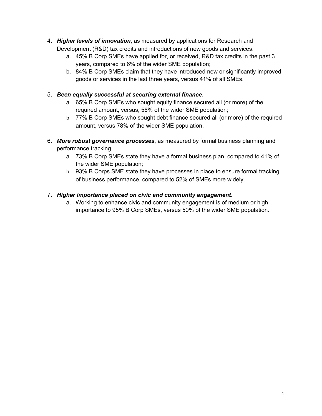- 4. *Higher levels of innovation*, as measured by applications for Research and Development (R&D) tax credits and introductions of new goods and services.
	- a. 45% B Corp SMEs have applied for, or received, R&D tax credits in the past 3 years, compared to 6% of the wider SME population;
	- b. 84% B Corp SMEs claim that they have introduced new or significantly improved goods or services in the last three years, versus 41% of all SMEs.

### 5. *Been equally successful at securing external finance*.

- a. 65% B Corp SMEs who sought equity finance secured all (or more) of the required amount, versus, 56% of the wider SME population;
- b. 77% B Corp SMEs who sought debt finance secured all (or more) of the required amount, versus 78% of the wider SME population.
- 6. *More robust governance processes*, as measured by formal business planning and performance tracking.
	- a. 73% B Corp SMEs state they have a formal business plan, compared to 41% of the wider SME population;
	- b. 93% B Corps SME state they have processes in place to ensure formal tracking of business performance, compared to 52% of SMEs more widely.

#### 7. *Higher importance placed on civic and community engagement*.

a. Working to enhance civic and community engagement is of medium or high importance to 95% B Corp SMEs, versus 50% of the wider SME population.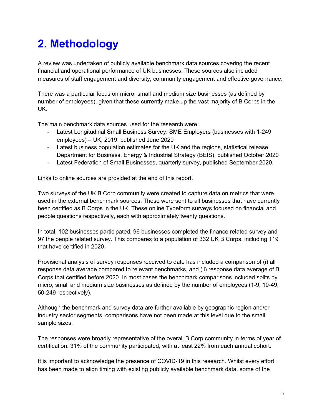## **2. Methodology**

A review was undertaken of publicly available benchmark data sources covering the recent financial and operational performance of UK businesses. These sources also included measures of staff engagement and diversity, community engagement and effective governance.

There was a particular focus on micro, small and medium size businesses (as defined by number of employees), given that these currently make up the vast majority of B Corps in the UK.

The main benchmark data sources used for the research were:

- Latest Longitudinal Small Business Survey: SME Employers (businesses with 1-249 employees) – UK, 2019, published June 2020
- Latest business population estimates for the UK and the regions, statistical release, Department for Business, Energy & Industrial Strategy (BEIS), published October 2020
- Latest Federation of Small Businesses, quarterly survey, published September 2020.

Links to online sources are provided at the end of this report.

Two surveys of the UK B Corp community were created to capture data on metrics that were used in the external benchmark sources. These were sent to all businesses that have currently been certified as B Corps in the UK. These online Typeform surveys focused on financial and people questions respectively, each with approximately twenty questions.

In total, 102 businesses participated. 96 businesses completed the finance related survey and 97 the people related survey. This compares to a population of 332 UK B Corps, including 119 that have certified in 2020.

Provisional analysis of survey responses received to date has included a comparison of (i) all response data average compared to relevant benchmarks, and (ii) response data average of B Corps that certified before 2020. In most cases the benchmark comparisons included splits by micro, small and medium size businesses as defined by the number of employees (1-9, 10-49, 50-249 respectively).

Although the benchmark and survey data are further available by geographic region and/or industry sector segments, comparisons have not been made at this level due to the small sample sizes.

The responses were broadly representative of the overall B Corp community in terms of year of certification. 31% of the community participated, with at least 22% from each annual cohort.

It is important to acknowledge the presence of COVID-19 in this research. Whilst every effort has been made to align timing with existing publicly available benchmark data, some of the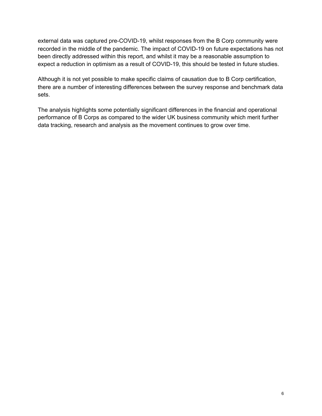external data was captured pre-COVID-19, whilst responses from the B Corp community were recorded in the middle of the pandemic. The impact of COVID-19 on future expectations has not been directly addressed within this report, and whilst it may be a reasonable assumption to expect a reduction in optimism as a result of COVID-19, this should be tested in future studies.

Although it is not yet possible to make specific claims of causation due to B Corp certification, there are a number of interesting differences between the survey response and benchmark data sets.

The analysis highlights some potentially significant differences in the financial and operational performance of B Corps as compared to the wider UK business community which merit further data tracking, research and analysis as the movement continues to grow over time.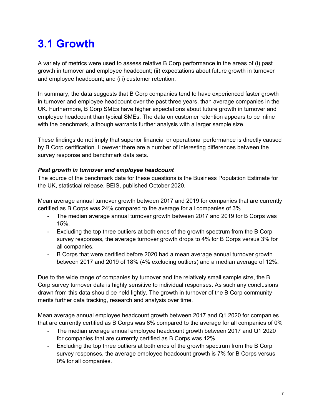# **3.1 Growth**

A variety of metrics were used to assess relative B Corp performance in the areas of (i) past growth in turnover and employee headcount; (ii) expectations about future growth in turnover and employee headcount; and (iii) customer retention.

In summary, the data suggests that B Corp companies tend to have experienced faster growth in turnover and employee headcount over the past three years, than average companies in the UK. Furthermore, B Corp SMEs have higher expectations about future growth in turnover and employee headcount than typical SMEs. The data on customer retention appears to be inline with the benchmark, although warrants further analysis with a larger sample size.

These findings do not imply that superior financial or operational performance is directly caused by B Corp certification. However there are a number of interesting differences between the survey response and benchmark data sets.

#### *Past growth in turnover and employee headcount*

The source of the benchmark data for these questions is the Business Population Estimate for the UK, statistical release, BEIS, published October 2020.

Mean average annual turnover growth between 2017 and 2019 for companies that are currently certified as B Corps was 24% compared to the average for all companies of 3%

- The median average annual turnover growth between 2017 and 2019 for B Corps was 15%.
- Excluding the top three outliers at both ends of the growth spectrum from the B Corp survey responses, the average turnover growth drops to 4% for B Corps versus 3% for all companies.
- B Corps that were certified before 2020 had a mean average annual turnover growth between 2017 and 2019 of 18% (4% excluding outliers) and a median average of 12%.

Due to the wide range of companies by turnover and the relatively small sample size, the B Corp survey turnover data is highly sensitive to individual responses. As such any conclusions drawn from this data should be held lightly. The growth in turnover of the B Corp community merits further data tracking, research and analysis over time.

Mean average annual employee headcount growth between 2017 and Q1 2020 for companies that are currently certified as B Corps was 8% compared to the average for all companies of 0%

- The median average annual employee headcount growth between 2017 and Q1 2020 for companies that are currently certified as B Corps was 12%.
- Excluding the top three outliers at both ends of the growth spectrum from the B Corp survey responses, the average employee headcount growth is 7% for B Corps versus 0% for all companies.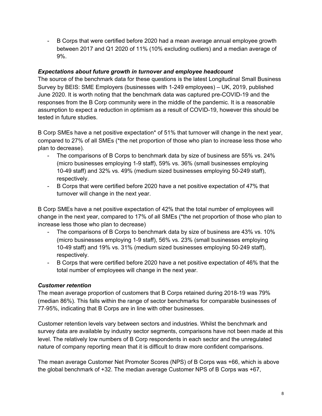- B Corps that were certified before 2020 had a mean average annual employee growth between 2017 and Q1 2020 of 11% (10% excluding outliers) and a median average of 9%.

#### *Expectations about future growth in turnover and employee headcount*

The source of the benchmark data for these questions is the latest Longitudinal Small Business Survey by BEIS: SME Employers (businesses with 1-249 employees) – UK, 2019, published June 2020. It is worth noting that the benchmark data was captured pre-COVID-19 and the responses from the B Corp community were in the middle of the pandemic. It is a reasonable assumption to expect a reduction in optimism as a result of COVID-19, however this should be tested in future studies.

B Corp SMEs have a net positive expectation<sup>\*</sup> of 51% that turnover will change in the next year, compared to 27% of all SMEs (\*the net proportion of those who plan to increase less those who plan to decrease).

- The comparisons of B Corps to benchmark data by size of business are 55% vs. 24% (micro businesses employing 1-9 staff), 59% vs. 36% (small businesses employing 10-49 staff) and 32% vs. 49% (medium sized businesses employing 50-249 staff), respectively.
- B Corps that were certified before 2020 have a net positive expectation of 47% that turnover will change in the next year.

B Corp SMEs have a net positive expectation of 42% that the total number of employees will change in the next year, compared to 17% of all SMEs (\*the net proportion of those who plan to increase less those who plan to decrease)

- The comparisons of B Corps to benchmark data by size of business are 43% vs. 10% (micro businesses employing 1-9 staff), 56% vs. 23% (small businesses employing 10-49 staff) and 19% vs. 31% (medium sized businesses employing 50-249 staff), respectively.
- B Corps that were certified before 2020 have a net positive expectation of 46% that the total number of employees will change in the next year.

### *Customer retention*

The mean average proportion of customers that B Corps retained during 2018-19 was 79% (median 86%). This falls within the range of sector benchmarks for comparable businesses of 77-95%, indicating that B Corps are in line with other businesses.

Customer retention levels vary between sectors and industries. Whilst the benchmark and survey data are available by industry sector segments, comparisons have not been made at this level. The relatively low numbers of B Corp respondents in each sector and the unregulated nature of company reporting mean that it is difficult to draw more confident comparisons.

The mean average Customer Net Promoter Scores (NPS) of B Corps was +66, which is above the global benchmark of +32. The median average Customer NPS of B Corps was +67,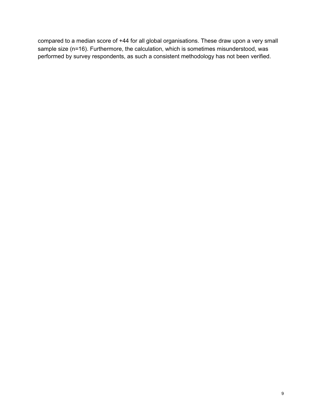compared to a median score of +44 for all global organisations. These draw upon a very small sample size (n=16). Furthermore, the calculation, which is sometimes misunderstood, was performed by survey respondents, as such a consistent methodology has not been verified.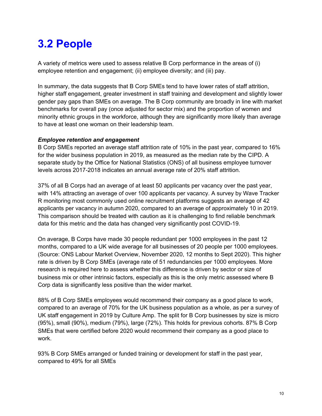### **3.2 People**

A variety of metrics were used to assess relative B Corp performance in the areas of (i) employee retention and engagement; (ii) employee diversity; and (iii) pay.

In summary, the data suggests that B Corp SMEs tend to have lower rates of staff attrition, higher staff engagement, greater investment in staff training and development and slightly lower gender pay gaps than SMEs on average. The B Corp community are broadly in line with market benchmarks for overall pay (once adjusted for sector mix) and the proportion of women and minority ethnic groups in the workforce, although they are significantly more likely than average to have at least one woman on their leadership team.

#### *Employee retention and engagement*

B Corp SMEs reported an average staff attrition rate of 10% in the past year, compared to 16% for the wider business population in 2019, as measured as the median rate by the CIPD. A separate study by the Office for National Statistics (ONS) of all business employee turnover levels across 2017-2018 indicates an annual average rate of 20% staff attrition.

37% of all B Corps had an average of at least 50 applicants per vacancy over the past year, with 14% attracting an average of over 100 applicants per vacancy. A survey by Wave Tracker R monitoring most commonly used online recruitment platforms suggests an average of 42 applicants per vacancy in autumn 2020, compared to an average of approximately 10 in 2019. This comparison should be treated with caution as it is challenging to find reliable benchmark data for this metric and the data has changed very significantly post COVID-19.

On average, B Corps have made 30 people redundant per 1000 employees in the past 12 months, compared to a UK wide average for all businesses of 20 people per 1000 employees. (Source: ONS Labour Market Overview, November 2020, 12 months to Sept 2020). This higher rate is driven by B Corp SMEs (average rate of 51 redundancies per 1000 employees. More research is required here to assess whether this difference is driven by sector or size of business mix or other intrinsic factors, especially as this is the only metric assessed where B Corp data is significantly less positive than the wider market.

88% of B Corp SMEs employees would recommend their company as a good place to work, compared to an average of 70% for the UK business population as a whole, as per a survey of UK staff engagement in 2019 by Culture Amp. The split for B Corp businesses by size is micro (95%), small (90%), medium (79%), large (72%). This holds for previous cohorts. 87% B Corp SMEs that were certified before 2020 would recommend their company as a good place to work.

93% B Corp SMEs arranged or funded training or development for staff in the past year, compared to 49% for all SMEs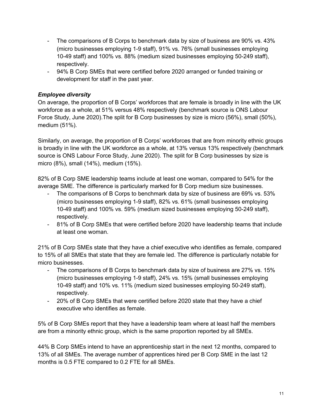- The comparisons of B Corps to benchmark data by size of business are 90% vs. 43% (micro businesses employing 1-9 staff), 91% vs. 76% (small businesses employing 10-49 staff) and 100% vs. 88% (medium sized businesses employing 50-249 staff), respectively.
- 94% B Corp SMEs that were certified before 2020 arranged or funded training or development for staff in the past year.

### *Employee diversity*

On average, the proportion of B Corps' workforces that are female is broadly in line with the UK workforce as a whole, at 51% versus 48% respectively (benchmark source is ONS Labour Force Study, June 2020).The split for B Corp businesses by size is micro (56%), small (50%), medium (51%).

Similarly, on average, the proportion of B Corps' workforces that are from minority ethnic groups is broadly in line with the UK workforce as a whole, at 13% versus 13% respectively (benchmark source is ONS Labour Force Study, June 2020). The split for B Corp businesses by size is micro (8%), small (14%), medium (15%).

82% of B Corp SME leadership teams include at least one woman, compared to 54% for the average SME. The difference is particularly marked for B Corp medium size businesses.

- The comparisons of B Corps to benchmark data by size of business are 69% vs. 53% (micro businesses employing 1-9 staff), 82% vs. 61% (small businesses employing 10-49 staff) and 100% vs. 59% (medium sized businesses employing 50-249 staff), respectively.
- 81% of B Corp SMEs that were certified before 2020 have leadership teams that include at least one woman.

21% of B Corp SMEs state that they have a chief executive who identifies as female, compared to 15% of all SMEs that state that they are female led. The difference is particularly notable for micro businesses.

- The comparisons of B Corps to benchmark data by size of business are 27% vs. 15% (micro businesses employing 1-9 staff), 24% vs. 15% (small businesses employing 10-49 staff) and 10% vs. 11% (medium sized businesses employing 50-249 staff), respectively.
- 20% of B Corp SMEs that were certified before 2020 state that they have a chief executive who identifies as female.

5% of B Corp SMEs report that they have a leadership team where at least half the members are from a minority ethnic group, which is the same proportion reported by all SMEs.

44% B Corp SMEs intend to have an apprenticeship start in the next 12 months, compared to 13% of all SMEs. The average number of apprentices hired per B Corp SME in the last 12 months is 0.5 FTE compared to 0.2 FTE for all SMEs.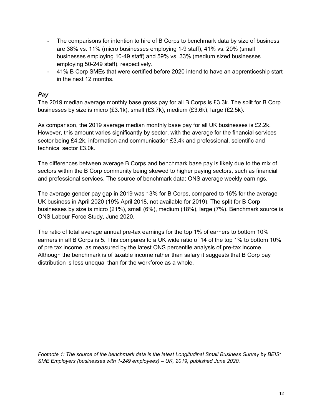- The comparisons for intention to hire of B Corps to benchmark data by size of business are 38% vs. 11% (micro businesses employing 1-9 staff), 41% vs. 20% (small businesses employing 10-49 staff) and 59% vs. 33% (medium sized businesses employing 50-249 staff), respectively.
- 41% B Corp SMEs that were certified before 2020 intend to have an apprenticeship start in the next 12 months.

#### *Pay*

The 2019 median average monthly base gross pay for all B Corps is £3.3k. The split for B Corp businesses by size is micro (£3.1k), small (£3.7k), medium (£3.6k), large (£2.5k).

As comparison, the 2019 average median monthly base pay for all UK businesses is £2.2k. However, this amount varies significantly by sector, with the average for the financial services sector being £4.2k, information and communication £3.4k and professional, scientific and technical sector £3.0k.

The differences between average B Corps and benchmark base pay is likely due to the mix of sectors within the B Corp community being skewed to higher paying sectors, such as financial and professional services. The source of benchmark data: ONS average weekly earnings.

The average gender pay gap in 2019 was 13% for B Corps, compared to 16% for the average UK business in April 2020 (19% April 2018, not available for 2019). The split for B Corp businesses by size is micro (21%), small (6%), medium (18%), large (7%). Benchmark source is ONS Labour Force Study, June 2020.

The ratio of total average annual pre-tax earnings for the top 1% of earners to bottom 10% earners in all B Corps is 5. This compares to a UK wide ratio of 14 of the top 1% to bottom 10% of pre tax income, as measured by the latest ONS percentile analysis of pre-tax income. Although the benchmark is of taxable income rather than salary it suggests that B Corp pay distribution is less unequal than for the workforce as a whole.

*Footnote 1: The source of the benchmark data is the latest Longitudinal Small Business Survey by BEIS: SME Employers (businesses with 1-249 employees) – UK, 2019, published June 2020.*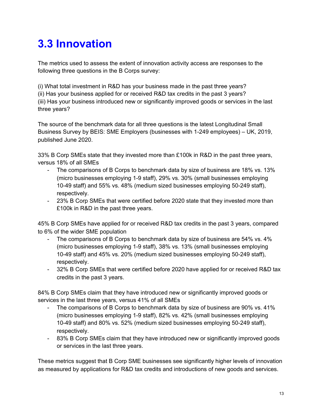# **3.3 Innovation**

The metrics used to assess the extent of innovation activity access are responses to the following three questions in the B Corps survey:

(i) What total investment in R&D has your business made in the past three years? (ii) Has your business applied for or received R&D tax credits in the past 3 years? (iii) Has your business introduced new or significantly improved goods or services in the last

three years?

The source of the benchmark data for all three questions is the latest Longitudinal Small Business Survey by BEIS: SME Employers (businesses with 1-249 employees) – UK, 2019, published June 2020.

33% B Corp SMEs state that they invested more than £100k in R&D in the past three years, versus 18% of all SMEs

- The comparisons of B Corps to benchmark data by size of business are 18% vs. 13% (micro businesses employing 1-9 staff), 29% vs. 30% (small businesses employing 10-49 staff) and 55% vs. 48% (medium sized businesses employing 50-249 staff), respectively.
- 23% B Corp SMEs that were certified before 2020 state that they invested more than £100k in R&D in the past three years.

45% B Corp SMEs have applied for or received R&D tax credits in the past 3 years, compared to 6% of the wider SME population

- The comparisons of B Corps to benchmark data by size of business are 54% vs. 4% (micro businesses employing 1-9 staff), 38% vs. 13% (small businesses employing 10-49 staff) and 45% vs. 20% (medium sized businesses employing 50-249 staff), respectively.
- 32% B Corp SMEs that were certified before 2020 have applied for or received R&D tax credits in the past 3 years.

84% B Corp SMEs claim that they have introduced new or significantly improved goods or services in the last three years, versus 41% of all SMEs

- The comparisons of B Corps to benchmark data by size of business are 90% vs. 41% (micro businesses employing 1-9 staff), 82% vs. 42% (small businesses employing 10-49 staff) and 80% vs. 52% (medium sized businesses employing 50-249 staff), respectively.
- 83% B Corp SMEs claim that they have introduced new or significantly improved goods or services in the last three years.

These metrics suggest that B Corp SME businesses see significantly higher levels of innovation as measured by applications for R&D tax credits and introductions of new goods and services.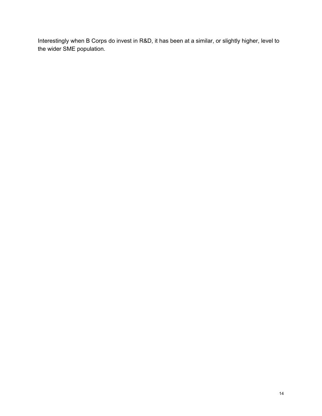Interestingly when B Corps do invest in R&D, it has been at a similar, or slightly higher, level to the wider SME population.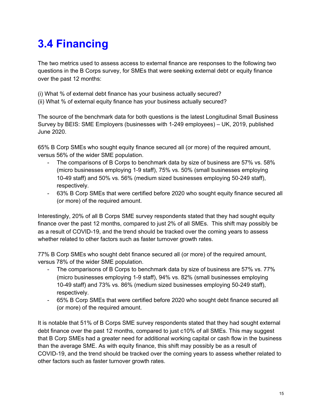# **3.4 Financing**

The two metrics used to assess access to external finance are responses to the following two questions in the B Corps survey, for SMEs that were seeking external debt or equity finance over the past 12 months:

(i) What % of external debt finance has your business actually secured?

(ii) What % of external equity finance has your business actually secured?

The source of the benchmark data for both questions is the latest Longitudinal Small Business Survey by BEIS: SME Employers (businesses with 1-249 employees) – UK, 2019, published June 2020.

65% B Corp SMEs who sought equity finance secured all (or more) of the required amount, versus 56% of the wider SME population.

- The comparisons of B Corps to benchmark data by size of business are 57% vs. 58% (micro businesses employing 1-9 staff), 75% vs. 50% (small businesses employing 10-49 staff) and 50% vs. 56% (medium sized businesses employing 50-249 staff), respectively.
- 63% B Corp SMEs that were certified before 2020 who sought equity finance secured all (or more) of the required amount.

Interestingly, 20% of all B Corps SME survey respondents stated that they had sought equity finance over the past 12 months, compared to just 2% of all SMEs. This shift may possibly be as a result of COVID-19, and the trend should be tracked over the coming years to assess whether related to other factors such as faster turnover growth rates.

77% B Corp SMEs who sought debt finance secured all (or more) of the required amount, versus 78% of the wider SME population.

- The comparisons of B Corps to benchmark data by size of business are 57% vs. 77% (micro businesses employing 1-9 staff), 94% vs. 82% (small businesses employing 10-49 staff) and 73% vs. 86% (medium sized businesses employing 50-249 staff), respectively.
- 65% B Corp SMEs that were certified before 2020 who sought debt finance secured all (or more) of the required amount.

It is notable that 51% of B Corps SME survey respondents stated that they had sought external debt finance over the past 12 months, compared to just c10% of all SMEs. This may suggest that B Corp SMEs had a greater need for additional working capital or cash flow in the business than the average SME. As with equity finance, this shift may possibly be as a result of COVID-19, and the trend should be tracked over the coming years to assess whether related to other factors such as faster turnover growth rates.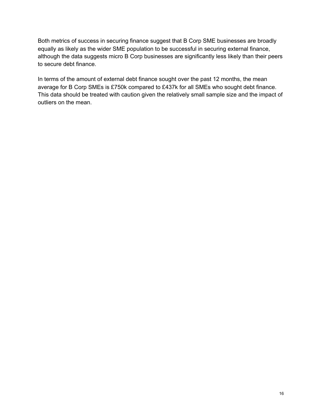Both metrics of success in securing finance suggest that B Corp SME businesses are broadly equally as likely as the wider SME population to be successful in securing external finance, although the data suggests micro B Corp businesses are significantly less likely than their peers to secure debt finance.

In terms of the amount of external debt finance sought over the past 12 months, the mean average for B Corp SMEs is £750k compared to £437k for all SMEs who sought debt finance. This data should be treated with caution given the relatively small sample size and the impact of outliers on the mean.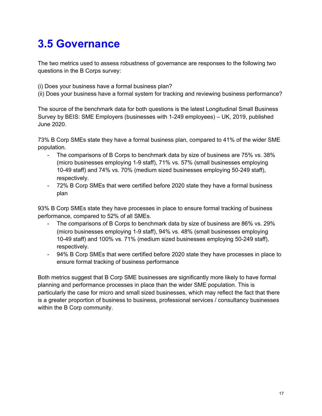## **3.5 Governance**

The two metrics used to assess robustness of governance are responses to the following two questions in the B Corps survey:

- (i) Does your business have a formal business plan?
- (ii) Does your business have a formal system for tracking and reviewing business performance?

The source of the benchmark data for both questions is the latest Longitudinal Small Business Survey by BEIS: SME Employers (businesses with 1-249 employees) – UK, 2019, published June 2020.

73% B Corp SMEs state they have a formal business plan, compared to 41% of the wider SME population.

- The comparisons of B Corps to benchmark data by size of business are 75% vs. 38% (micro businesses employing 1-9 staff), 71% vs. 57% (small businesses employing 10-49 staff) and 74% vs. 70% (medium sized businesses employing 50-249 staff), respectively.
- 72% B Corp SMEs that were certified before 2020 state they have a formal business plan

93% B Corp SMEs state they have processes in place to ensure formal tracking of business performance, compared to 52% of all SMEs.

- The comparisons of B Corps to benchmark data by size of business are 86% vs. 29% (micro businesses employing 1-9 staff), 94% vs. 48% (small businesses employing 10-49 staff) and 100% vs. 71% (medium sized businesses employing 50-249 staff), respectively.
- 94% B Corp SMEs that were certified before 2020 state they have processes in place to ensure formal tracking of business performance

Both metrics suggest that B Corp SME businesses are significantly more likely to have formal planning and performance processes in place than the wider SME population. This is particularly the case for micro and small sized businesses, which may reflect the fact that there is a greater proportion of business to business, professional services / consultancy businesses within the B Corp community.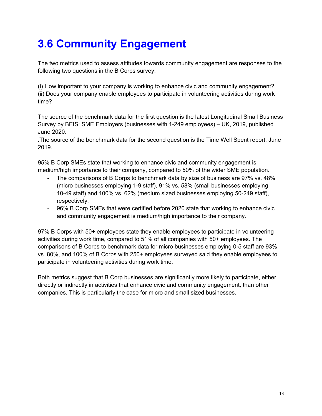# **3.6 Community Engagement**

The two metrics used to assess attitudes towards community engagement are responses to the following two questions in the B Corps survey:

(i) How important to your company is working to enhance civic and community engagement? (ii) Does your company enable employees to participate in volunteering activities during work time?

The source of the benchmark data for the first question is the latest Longitudinal Small Business Survey by BEIS: SME Employers (businesses with 1-249 employees) – UK, 2019, published June 2020.

.The source of the benchmark data for the second question is the Time Well Spent report, June 2019.

95% B Corp SMEs state that working to enhance civic and community engagement is medium/high importance to their company, compared to 50% of the wider SME population.

- The comparisons of B Corps to benchmark data by size of business are 97% vs. 48% (micro businesses employing 1-9 staff), 91% vs. 58% (small businesses employing 10-49 staff) and 100% vs. 62% (medium sized businesses employing 50-249 staff), respectively.
- 96% B Corp SMEs that were certified before 2020 state that working to enhance civic and community engagement is medium/high importance to their company.

97% B Corps with 50+ employees state they enable employees to participate in volunteering activities during work time, compared to 51% of all companies with 50+ employees. The comparisons of B Corps to benchmark data for micro businesses employing 0-5 staff are 93% vs. 80%, and 100% of B Corps with 250+ employees surveyed said they enable employees to participate in volunteering activities during work time.

Both metrics suggest that B Corp businesses are significantly more likely to participate, either directly or indirectly in activities that enhance civic and community engagement, than other companies. This is particularly the case for micro and small sized businesses.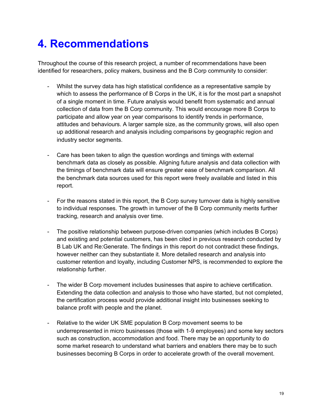## **4. Recommendations**

Throughout the course of this research project, a number of recommendations have been identified for researchers, policy makers, business and the B Corp community to consider:

- Whilst the survey data has high statistical confidence as a representative sample by which to assess the performance of B Corps in the UK, it is for the most part a snapshot of a single moment in time. Future analysis would benefit from systematic and annual collection of data from the B Corp community. This would encourage more B Corps to participate and allow year on year comparisons to identify trends in performance, attitudes and behaviours. A larger sample size, as the community grows, will also open up additional research and analysis including comparisons by geographic region and industry sector segments.
- Care has been taken to align the question wordings and timings with external benchmark data as closely as possible. Aligning future analysis and data collection with the timings of benchmark data will ensure greater ease of benchmark comparison. All the benchmark data sources used for this report were freely available and listed in this report.
- For the reasons stated in this report, the B Corp survey turnover data is highly sensitive to individual responses. The growth in turnover of the B Corp community merits further tracking, research and analysis over time.
- The positive relationship between purpose-driven companies (which includes B Corps) and existing and potential customers, has been cited in previous research conducted by B Lab UK and Re:Generate. The findings in this report do not contradict these findings, however neither can they substantiate it. More detailed research and analysis into customer retention and loyalty, including Customer NPS, is recommended to explore the relationship further.
- The wider B Corp movement includes businesses that aspire to achieve certification. Extending the data collection and analysis to those who have started, but not completed, the certification process would provide additional insight into businesses seeking to balance profit with people and the planet.
- Relative to the wider UK SME population B Corp movement seems to be underrepresented in micro businesses (those with 1-9 employees) and some key sectors such as construction, accommodation and food. There may be an opportunity to do some market research to understand what barriers and enablers there may be to such businesses becoming B Corps in order to accelerate growth of the overall movement.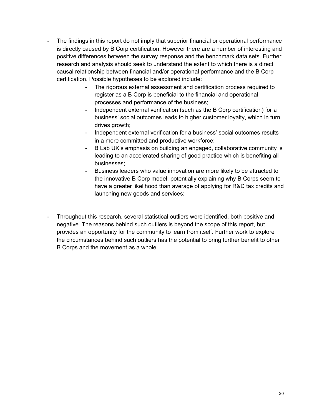- The findings in this report do not imply that superior financial or operational performance is directly caused by B Corp certification. However there are a number of interesting and positive differences between the survey response and the benchmark data sets. Further research and analysis should seek to understand the extent to which there is a direct causal relationship between financial and/or operational performance and the B Corp certification. Possible hypotheses to be explored include:
	- The rigorous external assessment and certification process required to register as a B Corp is beneficial to the financial and operational processes and performance of the business;
	- Independent external verification (such as the B Corp certification) for a business' social outcomes leads to higher customer loyalty, which in turn drives growth;
	- Independent external verification for a business' social outcomes results in a more committed and productive workforce;
	- B Lab UK's emphasis on building an engaged, collaborative community is leading to an accelerated sharing of good practice which is benefiting all businesses;
	- Business leaders who value innovation are more likely to be attracted to the innovative B Corp model, potentially explaining why B Corps seem to have a greater likelihood than average of applying for R&D tax credits and launching new goods and services;
- Throughout this research, several statistical outliers were identified, both positive and negative. The reasons behind such outliers is beyond the scope of this report, but provides an opportunity for the community to learn from itself. Further work to explore the circumstances behind such outliers has the potential to bring further benefit to other B Corps and the movement as a whole.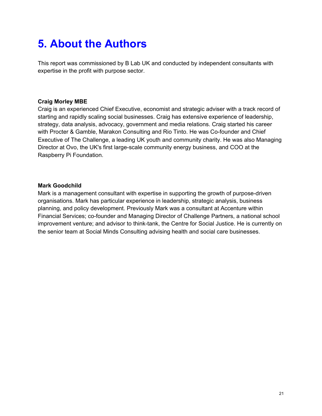## **5. About the Authors**

This report was commissioned by B Lab UK and conducted by independent consultants with expertise in the profit with purpose sector.

#### **Craig Morley MBE**

Craig is an experienced Chief Executive, economist and strategic adviser with a track record of starting and rapidly scaling social businesses. Craig has extensive experience of leadership, strategy, data analysis, advocacy, government and media relations. Craig started his career with Procter & Gamble, Marakon Consulting and Rio Tinto. He was Co-founder and Chief Executive of The Challenge, a leading UK youth and community charity. He was also Managing Director at Ovo, the UK's first large-scale community energy business, and COO at the Raspberry Pi Foundation.

#### **Mark Goodchild**

Mark is a management consultant with expertise in supporting the growth of purpose-driven organisations. Mark has particular experience in leadership, strategic analysis, business planning, and policy development. Previously Mark was a consultant at Accenture within Financial Services; co-founder and Managing Director of Challenge Partners, a national school improvement venture; and advisor to think-tank, the Centre for Social Justice. He is currently on the senior team at Social Minds Consulting advising health and social care businesses.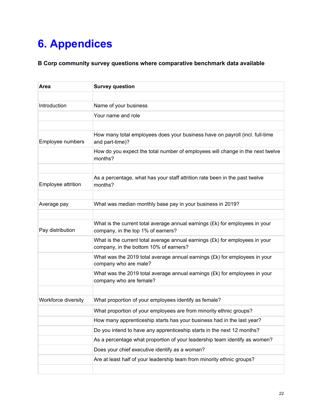# **6. Appendices**

### **B Corp community survey questions where comparative benchmark data available**

| Area                | <b>Survey question</b>                                                                                                 |
|---------------------|------------------------------------------------------------------------------------------------------------------------|
|                     |                                                                                                                        |
| Introduction        | Name of your business                                                                                                  |
|                     | Your name and role                                                                                                     |
|                     |                                                                                                                        |
| Employee numbers    | How many total employees does your business have on payroll (incl. full-time<br>and part-time)?                        |
|                     | How do you expect the total number of employees will change in the next twelve<br>months?                              |
|                     |                                                                                                                        |
| Employee attrition  | As a percentage, what has your staff attrition rate been in the past twelve<br>months?                                 |
|                     |                                                                                                                        |
| Average pay         | What was median monthly base pay in your business in 2019?                                                             |
|                     |                                                                                                                        |
| Pay distribution    | What is the current total average annual earnings $(Ek)$ for employees in your<br>company, in the top 1% of earners?   |
|                     | What is the current total average annual earnings (£k) for employees in your<br>company, in the bottom 10% of earners? |
|                     | What was the 2019 total average annual earnings $(Ek)$ for employees in your<br>company who are male?                  |
|                     | What was the 2019 total average annual earnings (£k) for employees in your<br>company who are female?                  |
|                     |                                                                                                                        |
| Workforce diversity | What proportion of your employees identify as female?                                                                  |
|                     | What proportion of your employees are from minority ethnic groups?                                                     |
|                     | How many apprenticeship starts has your business had in the last year?                                                 |
|                     | Do you intend to have any apprenticeship starts in the next 12 months?                                                 |
|                     | As a percentage what proportion of your leadership team identify as women?                                             |
|                     | Does your chief executive identify as a woman?                                                                         |
|                     | Are at least half of your leadership team from minority ethnic groups?                                                 |
|                     |                                                                                                                        |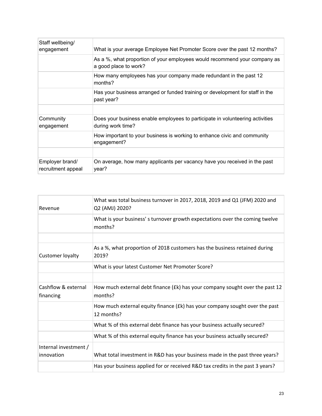| Staff wellbeing/<br>engagement        | What is your average Employee Net Promoter Score over the past 12 months?                          |
|---------------------------------------|----------------------------------------------------------------------------------------------------|
|                                       | As a %, what proportion of your employees would recommend your company as<br>a good place to work? |
|                                       | How many employees has your company made redundant in the past 12<br>months?                       |
|                                       | Has your business arranged or funded training or development for staff in the<br>past year?        |
|                                       |                                                                                                    |
| Community<br>engagement               | Does your business enable employees to participate in volunteering activities<br>during work time? |
|                                       | How important to your business is working to enhance civic and community<br>engagement?            |
|                                       |                                                                                                    |
| Employer brand/<br>recruitment appeal | On average, how many applicants per vacancy have you received in the past<br>year?                 |

| Revenue                             | What was total business turnover in 2017, 2018, 2019 and Q1 (JFM) 2020 and<br>Q2 (AMJ) 2020? |
|-------------------------------------|----------------------------------------------------------------------------------------------|
|                                     | What is your business' s turnover growth expectations over the coming twelve<br>months?      |
|                                     |                                                                                              |
| Customer loyalty                    | As a %, what proportion of 2018 customers has the business retained during<br>2019?          |
|                                     | What is your latest Customer Net Promoter Score?                                             |
|                                     |                                                                                              |
| Cashflow & external<br>financing    | How much external debt finance $(fk)$ has your company sought over the past 12<br>months?    |
|                                     | How much external equity finance (£k) has your company sought over the past<br>12 months?    |
|                                     | What % of this external debt finance has your business actually secured?                     |
|                                     | What % of this external equity finance has your business actually secured?                   |
| Internal investment /<br>innovation | What total investment in R&D has your business made in the past three years?                 |
|                                     | Has your business applied for or received R&D tax credits in the past 3 years?               |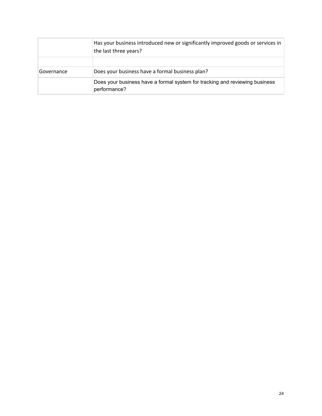|            | Has your business introduced new or significantly improved goods or services in<br>the last three years? |
|------------|----------------------------------------------------------------------------------------------------------|
|            |                                                                                                          |
| Governance | Does your business have a formal business plan?                                                          |
|            | Does your business have a formal system for tracking and reviewing business<br>performance?              |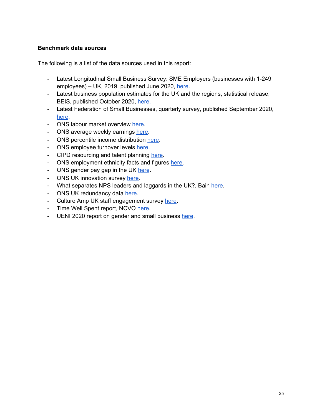#### **Benchmark data sources**

The following is a list of the data sources used in this report:

- Latest Longitudinal Small Business Survey: SME Employers (businesses with 1-249 employees) – UK, 2019, published June 2020, [here](https://assets.publishing.service.gov.uk/government/uploads/system/uploads/attachment_data/file/889656/LSBS_2019_employers.pdf).
- Latest business population estimates for the UK and the regions, statistical release, BEIS, published October 2020, [here.](https://www.gov.uk/government/publications/business-population-estimates-2020/business-population-estimates-for-the-uk-and-regions-2020-statistical-release-html)
- Latest Federation of Small Businesses, quarterly survey, published September 2020, [here](https://www.fsb.org.uk/resources-page/fsb-voice-of-small-business-index-quarter-2--2020.html).
- ONS labour market overview [here.](https://www.ons.gov.uk/employmentandlabourmarket/peopleinwork/employmentandemployeetypes/bulletins/uklabourmarket/previousReleases)
- ONS average weekly earnings [here](https://www.ons.gov.uk/employmentandlabourmarket/peopleinwork/employmentandemployeetypes/bulletins/averageweeklyearningsingreatbritain/latest).
- ONS percentile income distribution [here](https://www.gov.uk/government/statistics/percentile-points-from-1-to-99-for-total-income-before-and-after-tax).
- ONS employee turnover levels [here](https://www.ons.gov.uk/employmentandlabourmarket/peopleinwork/employmentandemployeetypes/adhocs/10685employeeturnoverlevelsandratesbyindustrysectionukjanuary2017todecember2018).
- CIPD resourcing and talent planning [here.](https://www.cipd.co.uk/Images/resourcing-and-talent-planning-2020_tcm18-85530.pdf)
- ONS employment ethnicity facts and figures [here.](https://www.ethnicity-facts-figures.service.gov.uk/work-pay-and-benefits/employment/employment/latest)
- ONS gender pay gap in the UK [here](https://www.ons.gov.uk/employmentandlabourmarket/peopleinwork/earningsandworkinghours/bulletins/genderpaygapintheuk/2019).
- ONS UK innovation survey [here.](https://assets.publishing.service.gov.uk/government/uploads/system/uploads/attachment_data/file/873740/UKIS_2019_Headlines_Findings.pdf)
- What separates NPS leaders and laggards in the UK?, Bain [here.](https://assets.publishing.service.gov.uk/government/uploads/system/uploads/attachment_data/file/873740/UKIS_2019_Headlines_Findings.pdf)
- ONS UK redundancy data [here](https://www.ons.gov.uk/employmentandlabourmarket/peoplenotinwork/redundancies/datasets/redundancieslevelsandratesnotseasonallyadjustedred01nsa).
- Culture Amp UK staff engagement survey [here.](https://academy.cultureamp.com/hc/en-us/articles/360003235579-2019-United-Kingdom-Benchmark)
- Time Well Spent report, NCVO [here.](https://www.ncvo.org.uk/policy-and-research/volunteering-policy/research/time-well-spent)
- UENI 2020 report on gender and small business [here.](https://blog.ueni.com/report-gender-small-business-female/)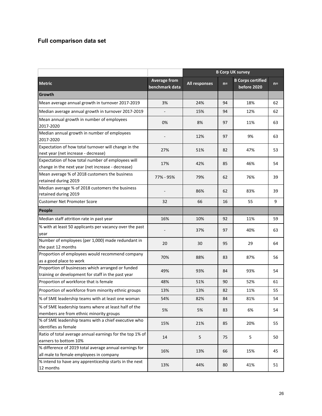### **Full comparison data set**

|                                                                                                         |                                       | <b>B Corp UK survey</b> |      |                                         |      |
|---------------------------------------------------------------------------------------------------------|---------------------------------------|-------------------------|------|-----------------------------------------|------|
| <b>Metric</b>                                                                                           | <b>Average from</b><br>benchmark data | All responses           | $n=$ | <b>B Corps certified</b><br>before 2020 | $n=$ |
| Growth                                                                                                  |                                       |                         |      |                                         |      |
| Mean average annual growth in turnover 2017-2019                                                        | 3%                                    | 24%                     | 94   | 18%                                     | 62   |
| Median average annual growth in turnover 2017-2019                                                      |                                       | 15%                     | 94   | 12%                                     | 62   |
| Mean annual growth in number of employees<br>2017-2020                                                  | 0%                                    | 8%                      | 97   | 11%                                     | 63   |
| Median annual growth in number of employees<br>2017-2020                                                |                                       | 12%                     | 97   | 9%                                      | 63   |
| Expectation of how total turnover will change in the<br>next year (net increase - decrease)             | 27%                                   | 51%                     | 82   | 47%                                     | 53   |
| Expectation of how total number of employees will<br>change in the next year (net increase - decrease)  | 17%                                   | 42%                     | 85   | 46%                                     | 54   |
| Mean average % of 2018 customers the business<br>retained during 2019                                   | 77% - 95%                             | 79%                     | 62   | 76%                                     | 39   |
| Median average % of 2018 customers the business<br>retained during 2019                                 |                                       | 86%                     | 62   | 83%                                     | 39   |
| <b>Customer Net Promoter Score</b>                                                                      | 32                                    | 66                      | 16   | 55                                      | 9    |
| People                                                                                                  |                                       |                         |      |                                         |      |
| Median staff attrition rate in past year                                                                | 16%                                   | 10%                     | 92   | 11%                                     | 59   |
| % with at least 50 applicants per vacancy over the past<br>year                                         |                                       | 37%                     | 97   | 40%                                     | 63   |
| Number of employees (per 1,000) made redundant in<br>the past 12 months                                 | 20                                    | 30                      | 95   | 29                                      | 64   |
| Proportion of employees would recommend company<br>as a good place to work                              | 70%                                   | 88%                     | 83   | 87%                                     | 56   |
| Proportion of businesses which arranged or funded<br>training or development for staff in the past year | 49%                                   | 93%                     | 84   | 93%                                     | 54   |
| Proportion of workforce that is female                                                                  | 48%                                   | 51%                     | 90   | 52%                                     | 61   |
| Proportion of workforce from minority ethnic groups                                                     | 13%                                   | 13%                     | 82   | 11%                                     | 55   |
| % of SME leadership teams with at least one woman                                                       | 54%                                   | 82%                     | 84   | 81%                                     | 54   |
| % of SME leadership teams where at least half of the<br>members are from ethnic minority groups         | 5%                                    | 5%                      | 83   | 6%                                      | 54   |
| % of SME leadership teams with a chief executive who<br>identifies as female                            | 15%                                   | 21%                     | 85   | 20%                                     | 55   |
| Ratio of total average annual earnings for the top 1% of<br>earners to bottom 10%                       | 14                                    | 5                       | 75   | 5                                       | 50   |
| % difference of 2019 total average annual earnings for<br>all male to female employees in company       | 16%                                   | 13%                     | 66   | 15%                                     | 45   |
| % intend to have any apprenticeship starts in the next<br>12 months                                     | 13%                                   | 44%                     | 80   | 41%                                     | 51   |